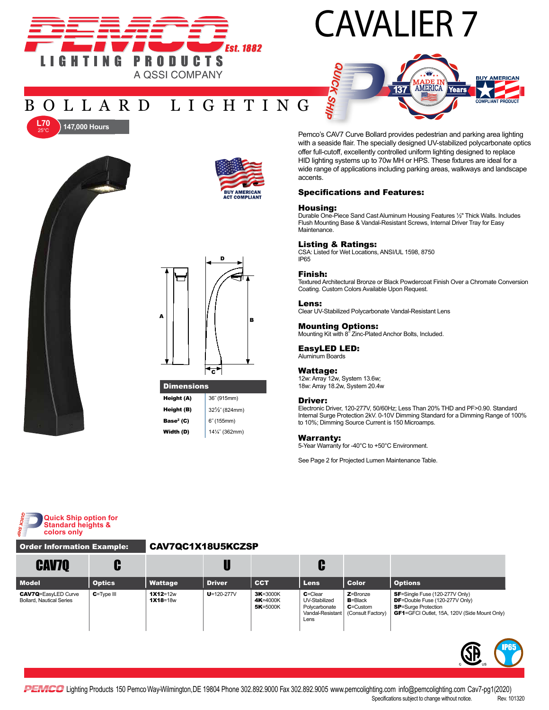

# CAVALIER 7



## BOLLARD LIGHTING



**147,000 Hours** 

25°C





Height (A) 36" (915mm) **Height (B)**  $32\frac{1}{2}$ <sup>"</sup> (824mm) **Base<sup>2</sup> (C)**  $6^{\circ}$  (155mm) **Width (D)** 14¼" (362mm) Pemco's CAV7 Curve Bollard provides pedestrian and parking area lighting with a seaside flair. The specially designed UV-stabilized polycarbonate optics offer full-cutoff, excellently controlled uniform lighting designed to replace HID lighting systems up to 70w MH or HPS. These fixtures are ideal for a wide range of applications including parking areas, walkways and landscape accents.

#### Specifications and Features:

#### Housing:

Durable One-Piece Sand Cast Aluminum Housing Features ½" Thick Walls. Includes Flush Mounting Base & Vandal-Resistant Screws, Internal Driver Tray for Easy Maintenance.

#### Listing & Ratings:

CSA: Listed for Wet Locations, ANSI/UL 1598, 8750 IP65

#### Finish:

Textured Architectural Bronze or Black Powdercoat Finish Over a Chromate Conversion Coating. Custom Colors Available Upon Request.

#### Lens:

Clear UV-Stabilized Polycarbonate Vandal-Resistant Lens

### Mounting Options:

Mounting Kit with 8˝ Zinc-Plated Anchor Bolts, Included.

#### EasyLED LED:

Aluminum Boards

#### Wattage:

12w: Array 12w, System 13.6w; 18w: Array 18.2w, System 20.4w

#### Driver:

Electronic Driver, 120-277V, 50/60Hz; Less Than 20% THD and PF>0.90. Standard Internal Surge Protection 2kV. 0-10V Dimming Standard for a Dimming Range of 100% to 10%; Dimming Source Current is 150 Microamps.

#### Warranty:

5-Year Warranty for -40°C to +50°C Environment.

See Page 2 for Projected Lumen Maintenance Table.



### Order Information Example: CAV7QC1X18U5KCZSP

| <b>CAV7Q</b>                                                  |                |                            |                  |                                  | C                                                                          |                                                                   |                                                                                                                                                                                   |
|---------------------------------------------------------------|----------------|----------------------------|------------------|----------------------------------|----------------------------------------------------------------------------|-------------------------------------------------------------------|-----------------------------------------------------------------------------------------------------------------------------------------------------------------------------------|
| <b>Model</b>                                                  | <b>Optics</b>  | Wattage                    | <b>Driver</b>    | <b>CCT</b>                       | <b>Lens</b>                                                                | <b>Color</b>                                                      | <b>Options</b>                                                                                                                                                                    |
| <b>CAV7Q=EasyLED Curve</b><br><b>Bollard, Nautical Series</b> | $C = Type III$ | $1X12=12w$<br>$1X18 = 18w$ | $U = 120 - 277V$ | 3K=3000K<br>4K=4000K<br>5K=5000K | $C = C$ lear<br>UV-Stabilized<br>Polycarbonate<br>Vandal-Resistant<br>Lens | $Z =$ Bronze<br>$B = B$ lack<br>$C =$ Custom<br>(Consult Factory) | <b>SF</b> =Single Fuse (120-277V Only)<br><b>DF</b> =Double Fuse $(120-277V \text{ Only})$<br><b>SP</b> =Surge Protection<br><b>GF1</b> =GFCI Outlet, 15A, 120V (Side Mount Only) |

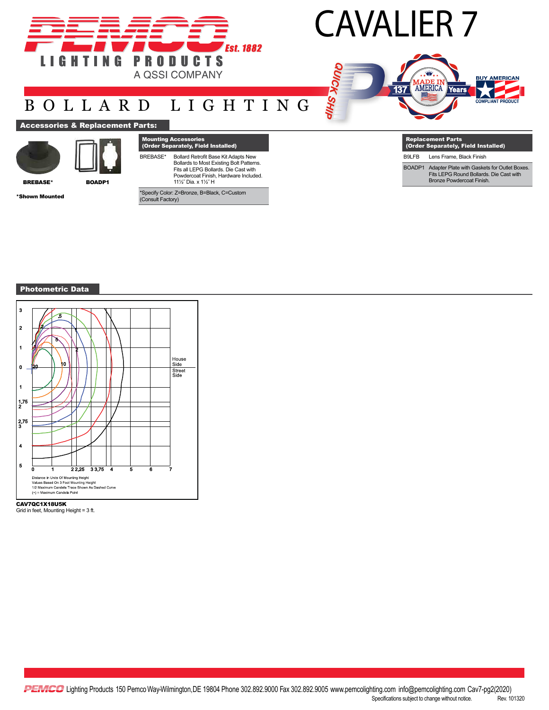

# CAVALIER 7

alks your



## BOLLARD LIGHTING

## **Accessories & Replacement**



BREBASE\* BOADP1

\*Shown Mounted

|                 | <b>Mounting Accessories</b><br>(Order Separately, Field Installed)                                                                                                                      |
|-----------------|-----------------------------------------------------------------------------------------------------------------------------------------------------------------------------------------|
| <b>BREBASE*</b> | Bollard Retrofit Base Kit Adapts New<br>Bollards to Most Existing Bolt Patterns.<br>Fits all LEPG Bollards. Die Cast with<br>Powdercoat Finish, Hardware Included.<br>11%" Dia. x 1%" H |

| <b>Replacement Parts</b><br>(Order Separately, Field Installed) |                                          |  |  |  |  |
|-----------------------------------------------------------------|------------------------------------------|--|--|--|--|
| B9LFB                                                           | Lens Frame, Black Finish                 |  |  |  |  |
|                                                                 | Adoptor Plate with Cookata for Outlet P. |  |  |  |  |

BOADP1 Adapter Plate with Gaskets for Outlet Boxes. Fits LEPG Round Bollards. Die Cast with Bronze Powdercoat Finish.

Photometric Data



CAV7QC1X18U5K Grid in feet, Mounting Height = 3 ft.